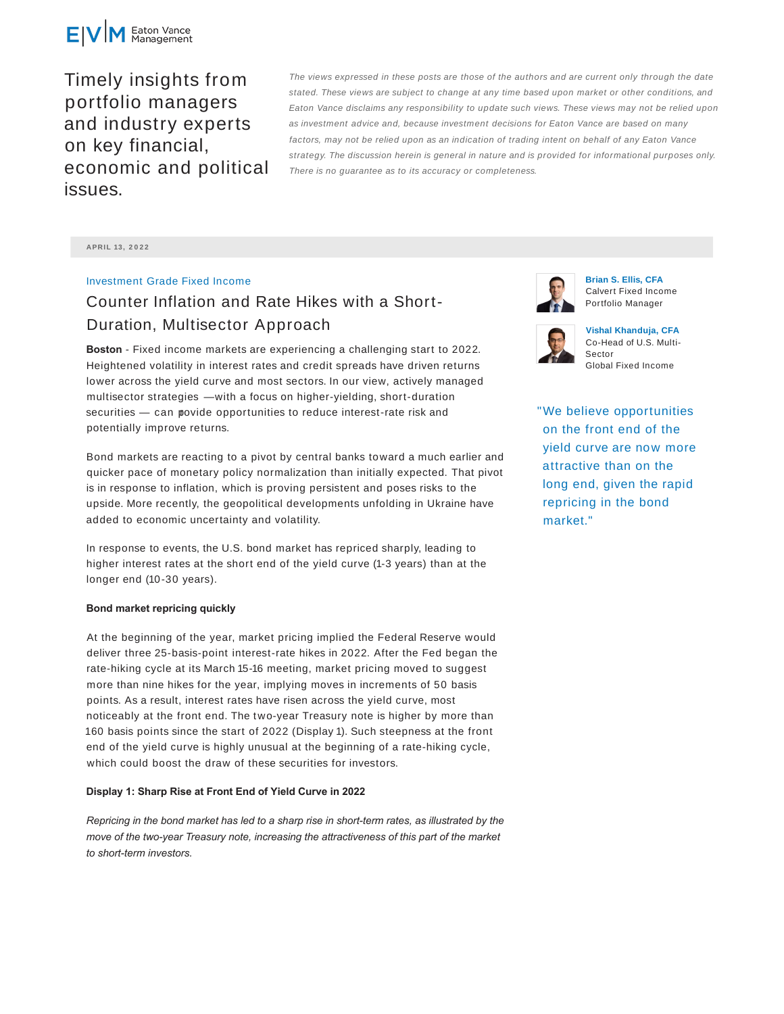

Timely insights from portfolio managers and industry experts on key financial, economic and political issues.

The views expressed in these posts are those of the authors and are current only through the date stated. These views are subject to change at any time based upon market or other conditions, and Eaton Vance disclaims any responsibility to update such views. These views may not be relied upon as investment advice and, because investment decisions for Eaton Vance are based on many factors, may not be relied upon as an indication of trading intent on behalf of any Eaton Vance strategy. The discussion herein is general in nature and is provided for informational purposes only. There is no guarantee as to its accuracy or completeness.

**APRIL 13 , 2 0 2 2**

## Investment Grade Fixed Income

# Counter Inflation and Rate Hikes with a Short-Duration, Multisector Approach

**Boston** - Fixed income markets are experiencing a challenging start to 2022. Heightened volatility in interest rates and credit spreads have driven returns lower across the yield curve and most sectors. In our view, actively managed multisector strategies — with a focus on higher-yielding, short-duration securities – can povide opportunities to reduce interest-rate risk and potentially improve returns.

Bond markets are reacting to a pivot by central banks toward a much earlier and quicker pace of monetary policy normalization than initially expected. That pivot is in response to inflation, which is proving persistent and poses risks to the upside. More recently, the geopolitical developments unfolding in Ukraine have added to economic uncertainty and volatility.

In response to events, the U.S. bond market has repriced sharply, leading to higher interest rates at the short end of the yield curve (1-3 years) than at the longer end (10-30 years).

### **Bond market repricing quickly**

At the beginning of the year, market pricing implied the Federal Reserve would deliver three 25-basis-point interest-rate hikes in 2022. After the Fed began the rate-hiking cycle at its March 15-16 meeting, market pricing moved to suggest more than nine hikes for the year, implying moves in increments of 50 basis points. As a result, interest rates have risen across the yield curve, most noticeably at the front end. The two-year Treasury note is higher by more than 160 basis points since the start of 2022 (Display 1). Such steepness at the front end of the yield curve is highly unusual at the beginning of a rate-hiking cycle, which could boost the draw of these securities for investors.

#### **Display 1: Sharp Rise at Front End of Yield Curve in 2022**

*Repricing in the bond market has led to a sharp rise in short-term rates, as illustrated by the move of the two-year Treasury note, increasing the attractiveness of this part of the market to short-term investors.*



**Brian S. Ellis, CFA** Calvert Fixed Income Portfolio Manager



**Vishal Khanduja, CFA** Co-Head of U.S. Multi-Sector Global Fixed Income

"We believe opportunities on the front end of the yield curve are now more attractive than on the long end, given the rapid repricing in the bond market."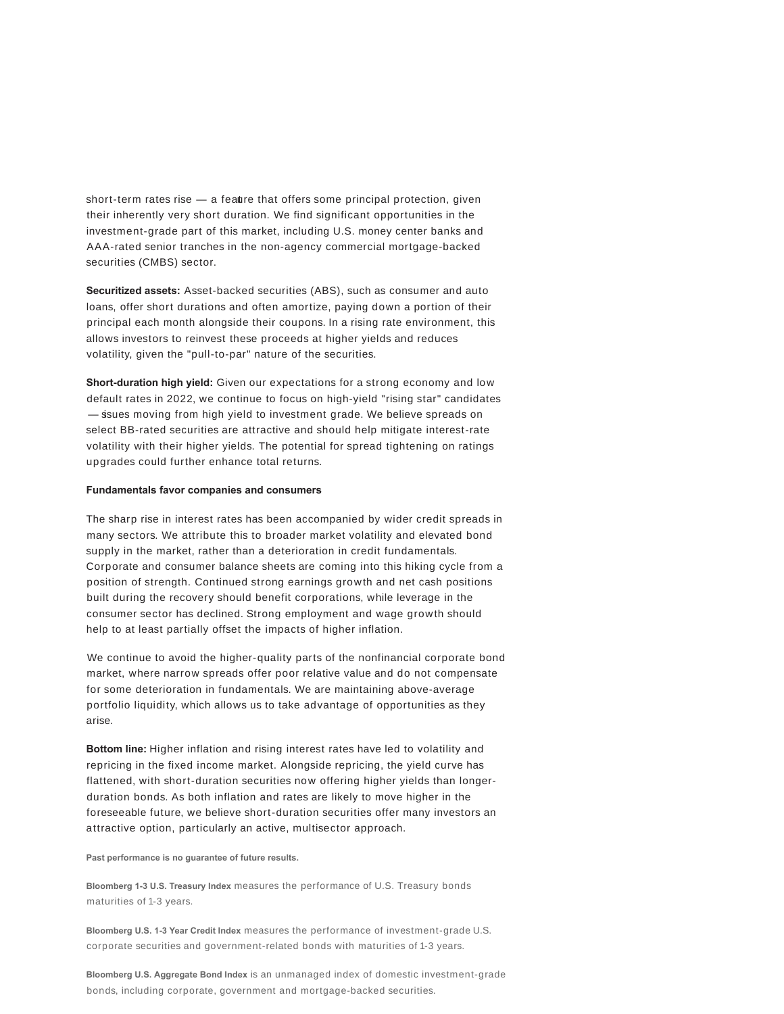short-term rates rise  $-$  a feature that offers some principal protection, given their inherently very short duration. We find significant opportunities in the investment-grade part of this market, including U.S. money center banks and AAA-rated senior tranches in the non-agency commercial mortgage-backed securities (CMBS) sector.

**Securitized assets:** Asset-backed securities (ABS), such as consumer and auto loans, offer short durations and often amortize, paying down a portion of their principal each month alongside their coupons. In a rising rate environment, this allows investors to reinvest these proceeds at higher yields and reduces volatility, given the "pull-to-par" nature of the securities.

**Short-duration high yield:** Given our expectations for a strong economy and low default rates in 2022, we continue to focus on high-yield "rising star" candidates - ssues moving from high yield to investment grade. We believe spreads on select BB-rated securities are attractive and should help mitigate interest-rate volatility with their higher yields. The potential for spread tightening on ratings upgrades could further enhance total returns.

#### **Fundamentals favor companies and consumers**

The sharp rise in interest rates has been accompanied by wider credit spreads in many sectors. We attribute this to broader market volatility and elevated bond supply in the market, rather than a deterioration in credit fundamentals. Corporate and consumer balance sheets are coming into this hiking cycle from a position of strength. Continued strong earnings growth and net cash positions built during the recovery should benefit corporations, while leverage in the consumer sector has declined. Strong employment and wage growth should help to at least partially offset the impacts of higher inflation.

We continue to avoid the higher-quality parts of the nonfinancial corporate bond market, where narrow spreads offer poor relative value and do not compensate for some deterioration in fundamentals. We are maintaining above-average portfolio liquidity, which allows us to take advantage of opportunities as they arise.

**Bottom line:** Higher inflation and rising interest rates have led to volatility and repricing in the fixed income market. Alongside repricing, the yield curve has flattened, with short-duration securities now offering higher yields than longerduration bonds. As both inflation and rates are likely to move higher in the foreseeable future, we believe short-duration securities offer many investors an attractive option, particularly an active, multisector approach.

**Past performance is no guarantee of future results.**

**Bloomberg 1-3 U.S. Treasury Index** measures the performance of U.S. Treasury bonds maturities of 1-3 years.

**Bloomberg U.S. 1-3 Year Credit Index** measures the performance of investment-grade U.S. corporate securities and government-related bonds with maturities of 1-3 years.

**Bloomberg U.S. Aggregate Bond Index** is an unmanaged index of domestic investment-grade bonds, including corporate, government and mortgage-backed securities.